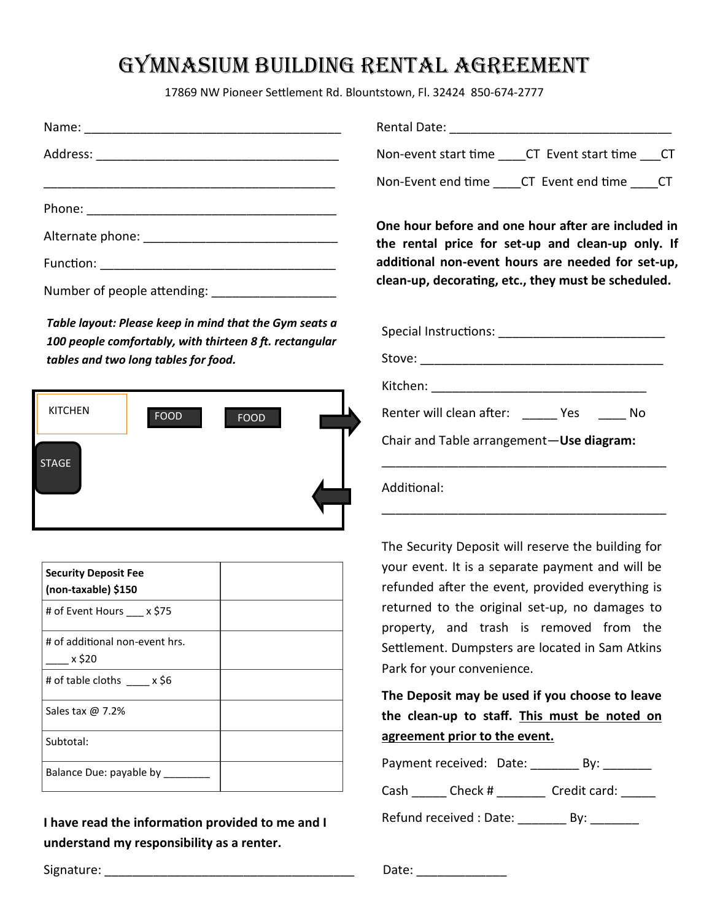## gymnasium building rental agreement

17869 NW Pioneer Settlement Rd. Blountstown, Fl. 32424 850-674-2777

*Table layout: Please keep in mind that the Gym seats a 100 people comfortably, with thirteen 8 ft. rectangular tables and two long tables for food.*



| <b>Security Deposit Fee</b><br>(non-taxable) \$150 |  |
|----------------------------------------------------|--|
| # of Event Hours x \$75                            |  |
| # of additional non-event hrs.<br>x \$20           |  |
| # of table cloths $x$ \$6                          |  |
| Sales tax $\omega$ 7.2%                            |  |
| Subtotal:                                          |  |
| Balance Due: payable by                            |  |

**I have read the information provided to me and I understand my responsibility as a renter.**

Rental Date: **We are all that the set of the set of the set of the set of the set of the set of the set of the set of the set of the set of the set of the set of the set of the set of the set of the set of the set of the s** 

Non-event start time \_\_\_\_CT Event start time \_\_\_CT

Non-Event end time \_\_\_\_CT Event end time \_\_\_\_CT

**One hour before and one hour after are included in the rental price for set-up and clean-up only. If additional non-event hours are needed for set-up, clean-up, decorating, etc., they must be scheduled.** 

| Special Instructions: _________________________ |  |  |  |  |
|-------------------------------------------------|--|--|--|--|
|                                                 |  |  |  |  |
| Kitchen: _________________________              |  |  |  |  |
| Renter will clean after: Yes No                 |  |  |  |  |
| Chair and Table arrangement-Use diagram:        |  |  |  |  |
| Additional:                                     |  |  |  |  |

The Security Deposit will reserve the building for your event. It is a separate payment and will be refunded after the event, provided everything is returned to the original set-up, no damages to property, and trash is removed from the Settlement. Dumpsters are located in Sam Atkins Park for your convenience.

**The Deposit may be used if you choose to leave the clean-up to staff. This must be noted on agreement prior to the event.**

|      | Payment received: Date:   | Bv:          |  |
|------|---------------------------|--------------|--|
| Cash | Check #                   | Credit card: |  |
|      | Defined reactived ; Deter |              |  |

Refund received : Date: \_\_\_\_\_\_\_\_\_ By: \_\_\_\_\_

Signature: The contract of the contract of the contract of the contract of the contract of the contract of the contract of the contract of the contract of the contract of the contract of the contract of the contract of the

| Date: |  |  |  |
|-------|--|--|--|
|       |  |  |  |
|       |  |  |  |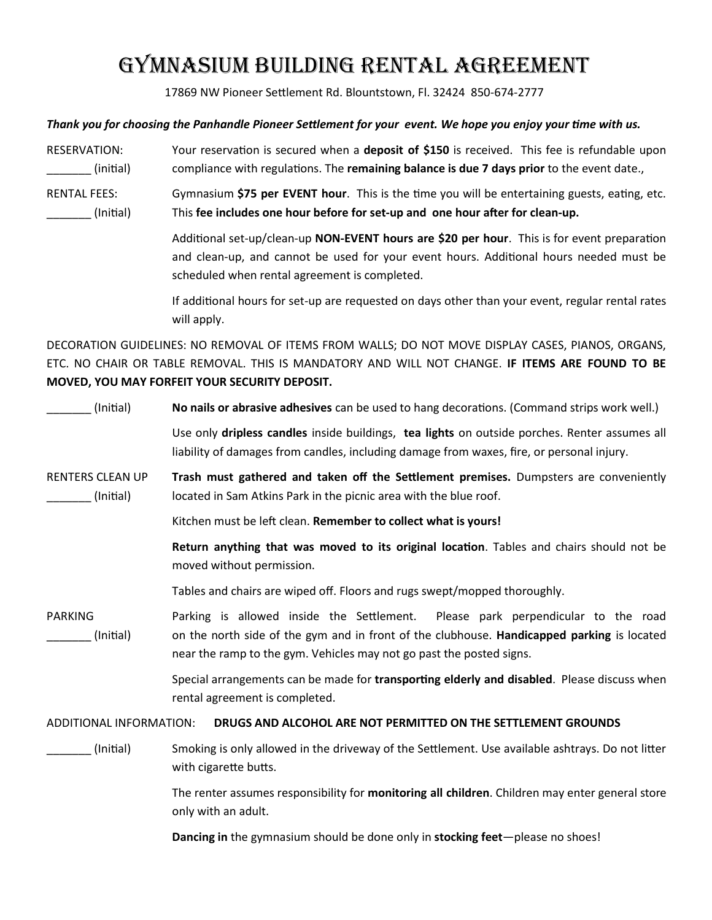# gymnasium building rental agreement

17869 NW Pioneer Settlement Rd. Blountstown, Fl. 32424 850-674-2777

#### *Thank you for choosing the Panhandle Pioneer Settlement for your event. We hope you enjoy your time with us.*

- RESERVATION: Your reservation is secured when a **deposit of \$150** is received. This fee is refundable upon \_\_\_\_\_\_\_ (initial) compliance with regulations. The **remaining balance is due 7 days prior** to the event date.,
- RENTAL FEES: Gymnasium **\$75 per EVENT hour**. This is the time you will be entertaining guests, eating, etc. \_\_\_\_\_\_\_ (Initial) This **fee includes one hour before for set-up and one hour after for clean-up.**

Additional set-up/clean-up **NON-EVENT hours are \$20 per hour**. This is for event preparation and clean-up, and cannot be used for your event hours. Additional hours needed must be scheduled when rental agreement is completed.

If additional hours for set-up are requested on days other than your event, regular rental rates will apply.

DECORATION GUIDELINES: NO REMOVAL OF ITEMS FROM WALLS; DO NOT MOVE DISPLAY CASES, PIANOS, ORGANS, ETC. NO CHAIR OR TABLE REMOVAL. THIS IS MANDATORY AND WILL NOT CHANGE. **IF ITEMS ARE FOUND TO BE MOVED, YOU MAY FORFEIT YOUR SECURITY DEPOSIT.**

\_\_\_\_\_\_\_ (Initial) **No nails or abrasive adhesives** can be used to hang decorations. (Command strips work well.) Use only **dripless candles** inside buildings, **tea lights** on outside porches. Renter assumes all liability of damages from candles, including damage from waxes, fire, or personal injury. RENTERS CLEAN UP **Trash must gathered and taken off the Settlement premises.** Dumpsters are conveniently (Initial) located in Sam Atkins Park in the picnic area with the blue roof. Kitchen must be left clean. **Remember to collect what is yours! Return anything that was moved to its original location**. Tables and chairs should not be moved without permission. Tables and chairs are wiped off. Floors and rugs swept/mopped thoroughly. PARKING Parking is allowed inside the Settlement. Please park perpendicular to the road \_\_\_\_\_\_\_ (Initial) on the north side of the gym and in front of the clubhouse. **Handicapped parking** is located near the ramp to the gym. Vehicles may not go past the posted signs. Special arrangements can be made for **transporting elderly and disabled**. Please discuss when rental agreement is completed. ADDITIONAL INFORMATION: **DRUGS AND ALCOHOL ARE NOT PERMITTED ON THE SETTLEMENT GROUNDS** \_\_\_\_\_\_\_ (Initial) Smoking is only allowed in the driveway of the Settlement. Use available ashtrays. Do not litter with cigarette butts. The renter assumes responsibility for **monitoring all children**. Children may enter general store only with an adult. **Dancing in** the gymnasium should be done only in **stocking feet**—please no shoes!